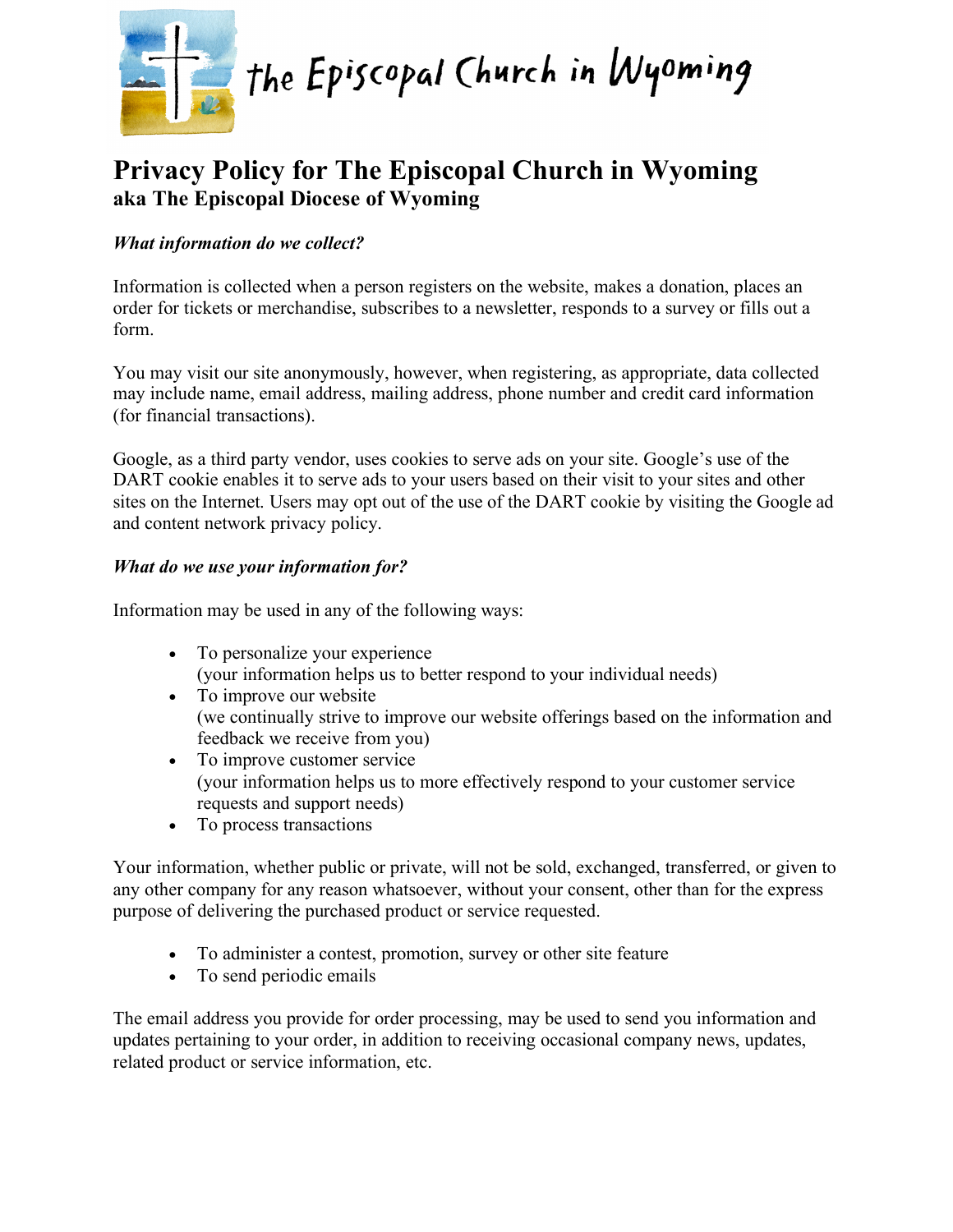

# **Privacy Policy for The Episcopal Church in Wyoming aka The Episcopal Diocese of Wyoming**

# *What information do we collect?*

Information is collected when a person registers on the website, makes a donation, places an order for tickets or merchandise, subscribes to a newsletter, responds to a survey or fills out a form.

You may visit our site anonymously, however, when registering, as appropriate, data collected may include name, email address, mailing address, phone number and credit card information (for financial transactions).

Google, as a third party vendor, uses cookies to serve ads on your site. Google's use of the DART cookie enables it to serve ads to your users based on their visit to your sites and other sites on the Internet. Users may opt out of the use of the DART cookie by visiting the Google ad and content network privacy policy.

## *What do we use your information for?*

Information may be used in any of the following ways:

- To personalize your experience (your information helps us to better respond to your individual needs)
- To improve our website (we continually strive to improve our website offerings based on the information and feedback we receive from you)
- To improve customer service (your information helps us to more effectively respond to your customer service requests and support needs)
- To process transactions

Your information, whether public or private, will not be sold, exchanged, transferred, or given to any other company for any reason whatsoever, without your consent, other than for the express purpose of delivering the purchased product or service requested.

- To administer a contest, promotion, survey or other site feature
- To send periodic emails

The email address you provide for order processing, may be used to send you information and updates pertaining to your order, in addition to receiving occasional company news, updates, related product or service information, etc.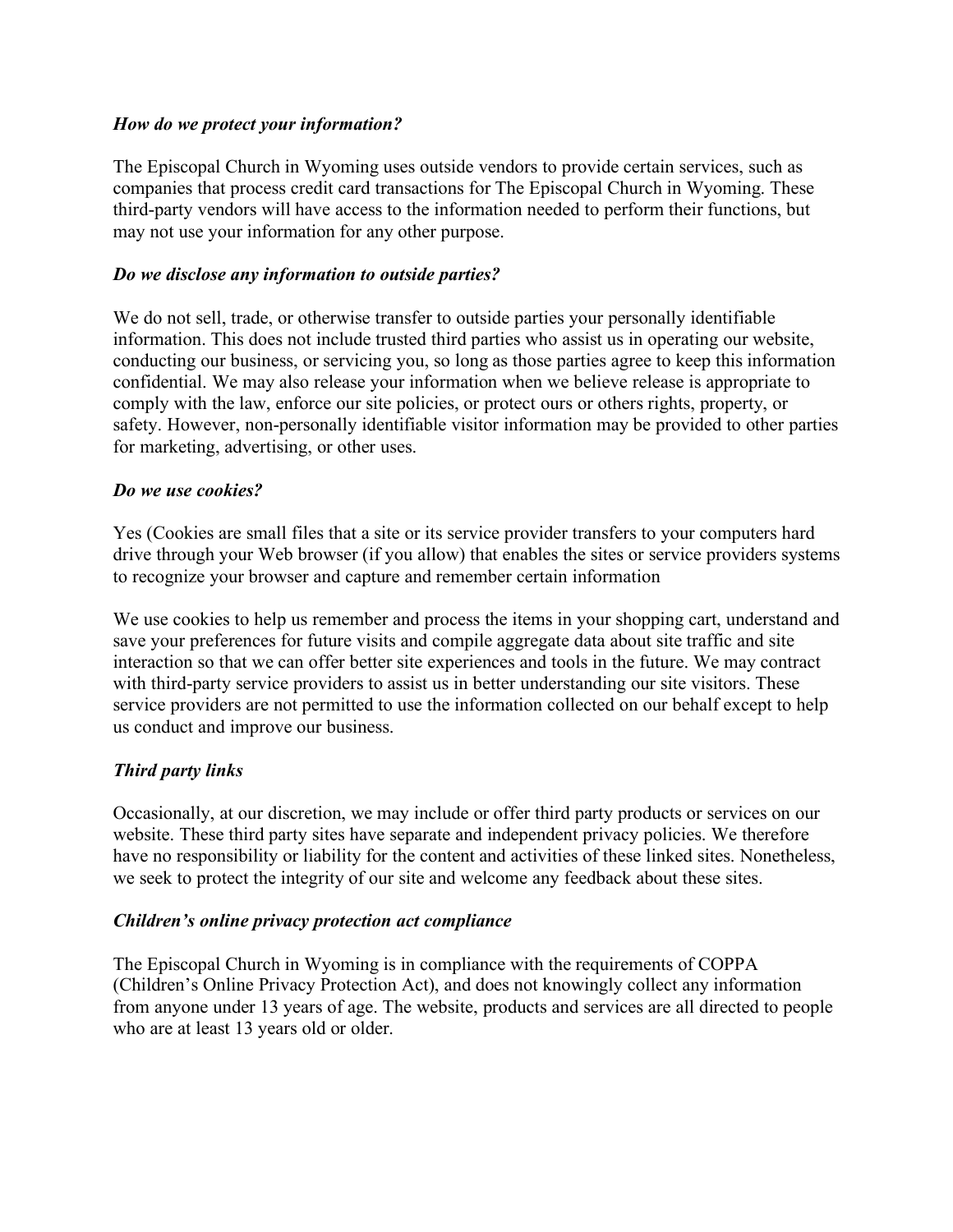#### *How do we protect your information?*

The Episcopal Church in Wyoming uses outside vendors to provide certain services, such as companies that process credit card transactions for The Episcopal Church in Wyoming. These third-party vendors will have access to the information needed to perform their functions, but may not use your information for any other purpose.

#### *Do we disclose any information to outside parties?*

We do not sell, trade, or otherwise transfer to outside parties your personally identifiable information. This does not include trusted third parties who assist us in operating our website, conducting our business, or servicing you, so long as those parties agree to keep this information confidential. We may also release your information when we believe release is appropriate to comply with the law, enforce our site policies, or protect ours or others rights, property, or safety. However, non-personally identifiable visitor information may be provided to other parties for marketing, advertising, or other uses.

#### *Do we use cookies?*

Yes (Cookies are small files that a site or its service provider transfers to your computers hard drive through your Web browser (if you allow) that enables the sites or service providers systems to recognize your browser and capture and remember certain information

We use cookies to help us remember and process the items in your shopping cart, understand and save your preferences for future visits and compile aggregate data about site traffic and site interaction so that we can offer better site experiences and tools in the future. We may contract with third-party service providers to assist us in better understanding our site visitors. These service providers are not permitted to use the information collected on our behalf except to help us conduct and improve our business.

## *Third party links*

Occasionally, at our discretion, we may include or offer third party products or services on our website. These third party sites have separate and independent privacy policies. We therefore have no responsibility or liability for the content and activities of these linked sites. Nonetheless, we seek to protect the integrity of our site and welcome any feedback about these sites.

#### *Children's online privacy protection act compliance*

The Episcopal Church in Wyoming is in compliance with the requirements of COPPA (Children's Online Privacy Protection Act), and does not knowingly collect any information from anyone under 13 years of age. The website, products and services are all directed to people who are at least 13 years old or older.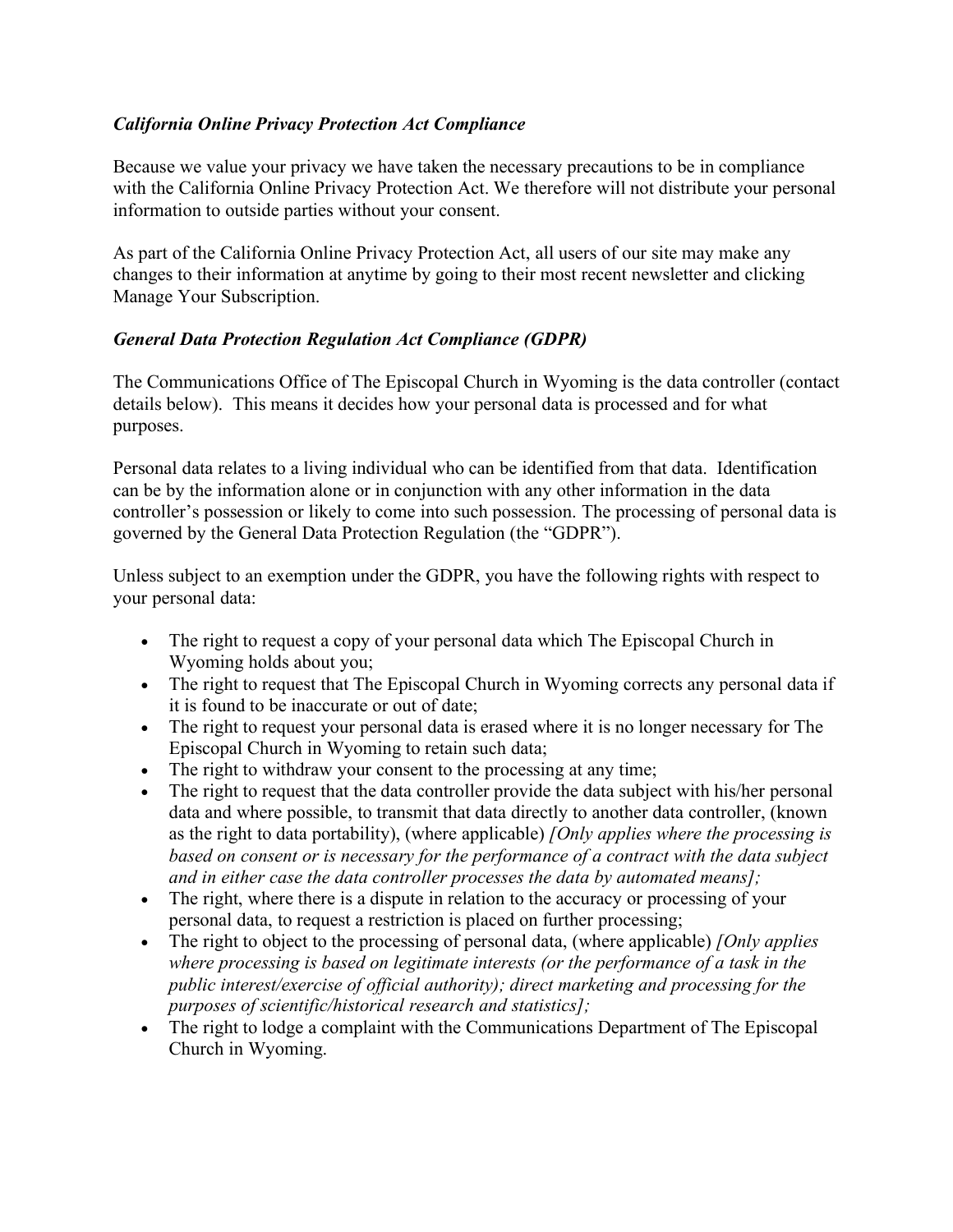## *California Online Privacy Protection Act Compliance*

Because we value your privacy we have taken the necessary precautions to be in compliance with the California Online Privacy Protection Act. We therefore will not distribute your personal information to outside parties without your consent.

As part of the California Online Privacy Protection Act, all users of our site may make any changes to their information at anytime by going to their most recent newsletter and clicking Manage Your Subscription.

## *General Data Protection Regulation Act Compliance (GDPR)*

The Communications Office of The Episcopal Church in Wyoming is the data controller (contact details below). This means it decides how your personal data is processed and for what purposes.

Personal data relates to a living individual who can be identified from that data. Identification can be by the information alone or in conjunction with any other information in the data controller's possession or likely to come into such possession. The processing of personal data is governed by the General Data Protection Regulation (the "GDPR").

Unless subject to an exemption under the GDPR, you have the following rights with respect to your personal data:

- The right to request a copy of your personal data which The Episcopal Church in Wyoming holds about you;
- The right to request that The Episcopal Church in Wyoming corrects any personal data if it is found to be inaccurate or out of date;
- The right to request your personal data is erased where it is no longer necessary for The Episcopal Church in Wyoming to retain such data;
- The right to withdraw your consent to the processing at any time;
- The right to request that the data controller provide the data subject with his/her personal data and where possible, to transmit that data directly to another data controller, (known as the right to data portability), (where applicable) *[Only applies where the processing is based on consent or is necessary for the performance of a contract with the data subject and in either case the data controller processes the data by automated means];*
- The right, where there is a dispute in relation to the accuracy or processing of your personal data, to request a restriction is placed on further processing;
- The right to object to the processing of personal data, (where applicable) *[Only applies where processing is based on legitimate interests (or the performance of a task in the public interest/exercise of official authority); direct marketing and processing for the purposes of scientific/historical research and statistics];*
- The right to lodge a complaint with the Communications Department of The Episcopal Church in Wyoming.